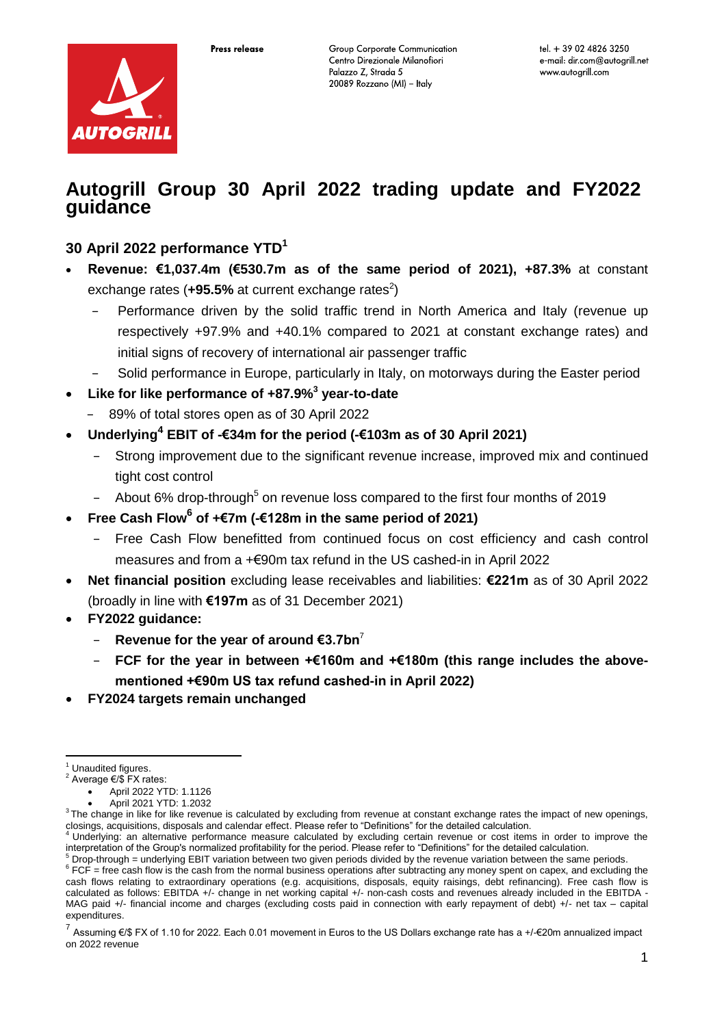

# **Autogrill Group 30 April 2022 trading update and FY2022 guidance**

# **30 April 2022 performance YTD<sup>1</sup>**

- **Revenue: €1,037.4m (€530.7m as of the same period of 2021), +87.3%** at constant exchange rates  $(+95.5\%$  at current exchange rates<sup>2</sup>)
	- − Performance driven by the solid traffic trend in North America and Italy (revenue up respectively +97.9% and +40.1% compared to 2021 at constant exchange rates) and initial signs of recovery of international air passenger traffic
	- Solid performance in Europe, particularly in Italy, on motorways during the Easter period
- **Like for like performance of +87.9% 3 year-to-date**
	- − 89% of total stores open as of 30 April 2022
- **Underlying<sup>4</sup> EBIT of -€34m for the period (-€103m as of 30 April 2021)**
	- Strong improvement due to the significant revenue increase, improved mix and continued tight cost control
	- − About 6% drop-through<sup>5</sup> on revenue loss compared to the first four months of 2019
- **Free Cash Flow<sup>6</sup> of +€7m (-€128m in the same period of 2021)**
	- − Free Cash Flow benefitted from continued focus on cost efficiency and cash control measures and from a +€90m tax refund in the US cashed-in in April 2022
- **Net financial position** excluding lease receivables and liabilities: **€221m** as of 30 April 2022 (broadly in line with **€197m** as of 31 December 2021)
- **FY2022 guidance:**
	- **Revenue for the year of around €3.7bn**<sup>7</sup>
	- − **FCF for the year in between +€160m and +€180m (this range includes the abovementioned +€90m US tax refund cashed-in in April 2022)**
- **FY2024 targets remain unchanged**

<u>.</u>

<sup>&</sup>lt;sup>1</sup> Unaudited figures.

<sup>2</sup> Average €/\$ FX rates:

April 2022 YTD: 1.1126

April 2021 YTD: 1.2032  $3$ The change in like for like revenue is calculated by excluding from revenue at constant exchange rates the impact of new openings,

closings, acquisitions, disposals and calendar effect. Please refer to "Definitions" for the detailed calculation.<br><sup>4</sup> Underlying: an alternative performance measure calculated by excluding certain revenue or cost items in interpretation of the Group's normalized profitability for the period. Please refer to "Definitions" for the detailed calculation.

 $<sup>5</sup>$  Drop-through = underlying EBIT variation between two given periods divided by the revenue variation between the same periods.</sup>

 $6$  FCF = free cash flow is the cash from the normal business operations after subtracting any money spent on capex, and excluding the cash flows relating to extraordinary operations (e.g. acquisitions, disposals, equity raisings, debt refinancing). Free cash flow is calculated as follows: EBITDA +/- change in net working capital +/- non-cash costs and revenues already included in the EBITDA - MAG paid +/- financial income and charges (excluding costs paid in connection with early repayment of debt) +/- net tax – capital expenditures.

<sup>&</sup>lt;sup>7</sup> Assuming €/\$ FX of 1.10 for 2022. Each 0.01 movement in Euros to the US Dollars exchange rate has a +/-€20m annualized impact on 2022 revenue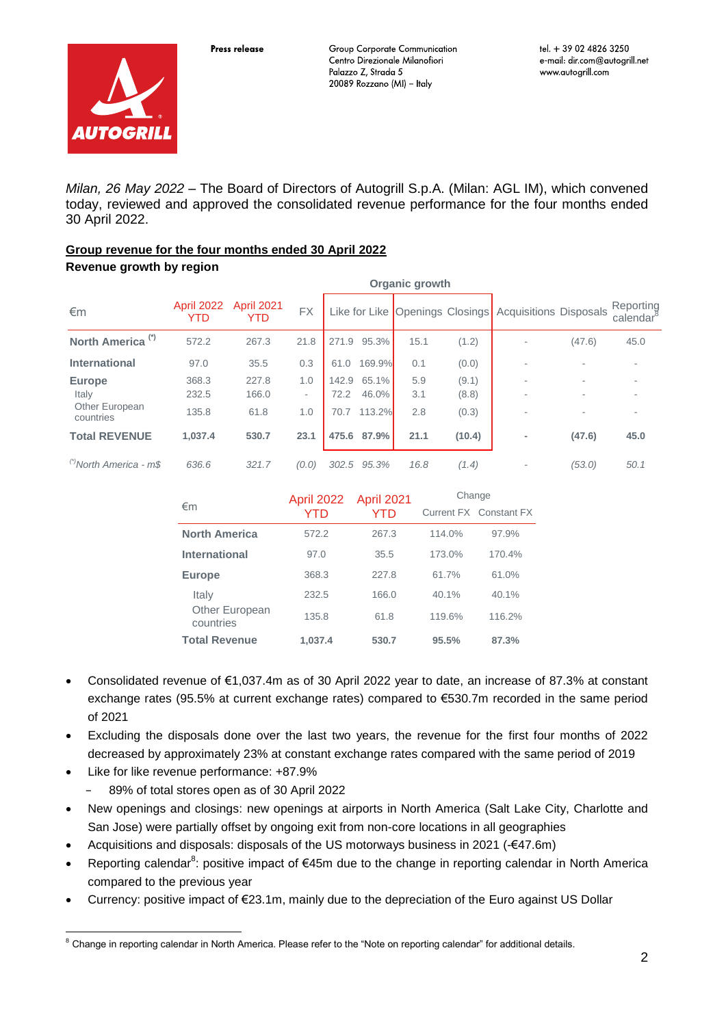

*Milan, 26 May 2022* – The Board of Directors of Autogrill S.p.A. (Milan: AGL IM), which convened today, reviewed and approved the consolidated revenue performance for the four months ended 30 April 2022.

### **Group revenue for the four months ended 30 April 2022**

### **Revenue growth by region**

|                                   | <b>Organic growth</b>    |                                 |           |       |        |      |        |                                                        |        |                                    |
|-----------------------------------|--------------------------|---------------------------------|-----------|-------|--------|------|--------|--------------------------------------------------------|--------|------------------------------------|
| €m                                | <b>April 2022</b><br>YTD | <b>April 2021</b><br><b>YTD</b> | <b>FX</b> |       |        |      |        | Like for Like Openings Closings Acquisitions Disposals |        | Reporting<br>calendar <sup>8</sup> |
| North America <sup>(*)</sup>      | 572.2                    | 267.3                           | 21.8      | 271.9 | 95.3%  | 15.1 | (1.2)  |                                                        | (47.6) | 45.0                               |
| <b>International</b>              | 97.0                     | 35.5                            | 0.3       | 61.0  | 169.9% | 0.1  | (0.0)  | ۰                                                      |        |                                    |
| <b>Europe</b>                     | 368.3                    | 227.8                           | 1.0       | 142.9 | 65.1%  | 5.9  | (9.1)  | ۰                                                      |        |                                    |
| Italy                             | 232.5                    | 166.0                           | ۰         | 72.2  | 46.0%  | 3.1  | (8.8)  | ۰                                                      |        |                                    |
| Other European<br>countries       | 135.8                    | 61.8                            | 1.0       | 70.7  | 113.2% | 2.8  | (0.3)  |                                                        |        |                                    |
| <b>Total REVENUE</b>              | 1,037.4                  | 530.7                           | 23.1      | 475.6 | 87.9%  | 21.1 | (10.4) | ٠                                                      | (47.6) | 45.0                               |
| <sup>(7</sup> North America - m\$ | 636.6                    | 321.7                           | (0.0)     | 302.5 | 95.3%  | 16.8 | (1.4)  |                                                        | (53.0) | 50.1                               |

|                             | April 2022 | <b>April 2021</b> | Change |                        |  |
|-----------------------------|------------|-------------------|--------|------------------------|--|
| €m                          | YTD        | YTD               |        | Current FX Constant FX |  |
| <b>North America</b>        | 572.2      | 267.3             | 114.0% | 97.9%                  |  |
| <b>International</b>        | 97.0       | 35.5              | 173.0% | 170.4%                 |  |
| <b>Europe</b>               | 368.3      | 227.8             | 61.7%  | 61.0%                  |  |
| Italy                       | 232.5      | 166.0             | 40.1%  | 40.1%                  |  |
| Other European<br>countries | 135.8      | 61.8              | 119.6% | 116.2%                 |  |
| <b>Total Revenue</b>        | 1.037.4    | 530.7             | 95.5%  | 87.3%                  |  |

- Consolidated revenue of €1,037.4m as of 30 April 2022 year to date, an increase of 87.3% at constant exchange rates (95.5% at current exchange rates) compared to €530.7m recorded in the same period of 2021
- Excluding the disposals done over the last two years, the revenue for the first four months of 2022 decreased by approximately 23% at constant exchange rates compared with the same period of 2019
- Like for like revenue performance: +87.9%
	- − 89% of total stores open as of 30 April 2022
- New openings and closings: new openings at airports in North America (Salt Lake City, Charlotte and San Jose) were partially offset by ongoing exit from non-core locations in all geographies
- Acquisitions and disposals: disposals of the US motorways business in 2021 (-€47.6m)
- Reporting calendar<sup>8</sup>: positive impact of €45m due to the change in reporting calendar in North America compared to the previous year
- Currency: positive impact of €23.1m, mainly due to the depreciation of the Euro against US Dollar

<sup>1</sup>  $8$  Change in reporting calendar in North America. Please refer to the "Note on reporting calendar" for additional details.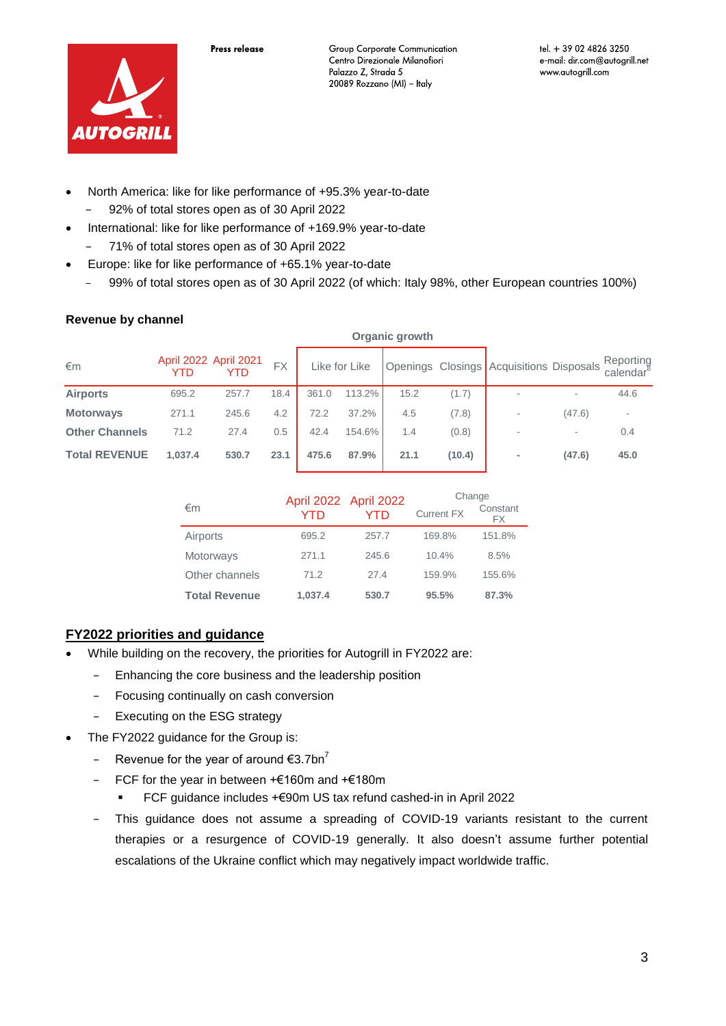

- North America: like for like performance of +95.3% year-to-date − 92% of total stores open as of 30 April 2022
- International: like for like performance of +169.9% year-to-date
	- − 71% of total stores open as of 30 April 2022
- Europe: like for like performance of +65.1% year-to-date
	- 99% of total stores open as of 30 April 2022 (of which: Italy 98%, other European countries 100%)

**Organic growth**

### **Revenue by channel**

| €m                    | April 2022 April 2021<br>YTD | YTD   | <b>FX</b> |       | Like for Like |      |        | <b>Openings Closings Acquisitions Disposals</b> |        | Reporting<br>calendar° |
|-----------------------|------------------------------|-------|-----------|-------|---------------|------|--------|-------------------------------------------------|--------|------------------------|
| <b>Airports</b>       | 695.2                        | 257.7 | 18.4      | 361.0 | 113.2%        | 15.2 | (1.7)  | $\overline{\phantom{a}}$                        |        | 44.6                   |
| <b>Motorways</b>      | 271.1                        | 245.6 | 4.2       | 72.2  | 37.2%         | 4.5  | (7.8)  |                                                 | (47.6) |                        |
| <b>Other Channels</b> | 71.2                         | 27.4  | 0.5       | 42.4  | 154.6%        | 1.4  | (0.8)  |                                                 | ۰      | 0.4                    |
| <b>Total REVENUE</b>  | 1,037.4                      | 530.7 | 23.1      | 475.6 | 87.9%         | 21.1 | (10.4) |                                                 | (47.6) | 45.0                   |

|                      |         | April 2022 April 2022 | Change            |                |  |
|----------------------|---------|-----------------------|-------------------|----------------|--|
| €m                   | YTD     | YTD                   | <b>Current FX</b> | Constant<br>FX |  |
| Airports             | 695.2   | 257.7                 | 169.8%            | 151.8%         |  |
| Motorways            | 271.1   | 245.6                 | 10.4%             | 8.5%           |  |
| Other channels       | 71.2    | 27.4                  | 159.9%            | 155.6%         |  |
| <b>Total Revenue</b> | 1.037.4 | 530.7                 | 95.5%             | 87.3%          |  |

### **FY2022 priorities and guidance**

- While building on the recovery, the priorities for Autogrill in FY2022 are:
	- − Enhancing the core business and the leadership position
	- − Focusing continually on cash conversion
	- − Executing on the ESG strategy
- The FY2022 guidance for the Group is:
	- − Revenue for the year of around €3.7bn<sup>7</sup>
	- − FCF for the year in between +€160m and +€180m
		- FCF guidance includes +€90m US tax refund cashed-in in April 2022
	- This guidance does not assume a spreading of COVID-19 variants resistant to the current therapies or a resurgence of COVID-19 generally. It also doesn't assume further potential escalations of the Ukraine conflict which may negatively impact worldwide traffic.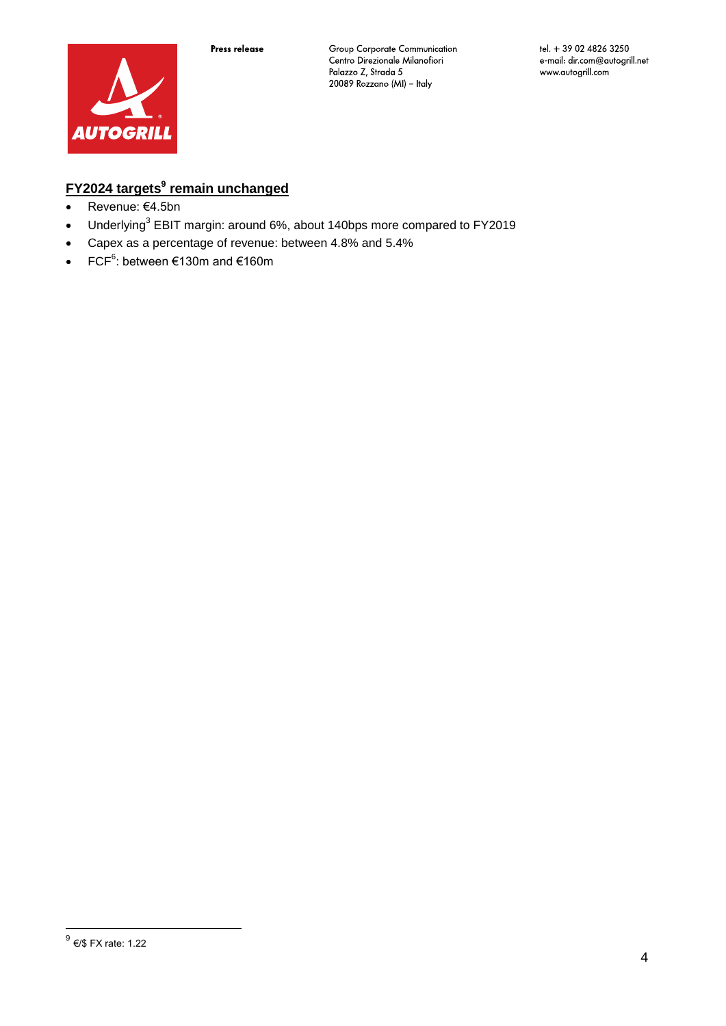

# **FY2024 targets<sup>9</sup> remain unchanged**

- Revenue: €4.5bn
- Underlying<sup>3</sup> EBIT margin: around 6%, about 140bps more compared to FY2019
- Capex as a percentage of revenue: between 4.8% and 5.4%
- FCF $6$ : between €130m and €160m

 9 €/\$ FX rate: 1.22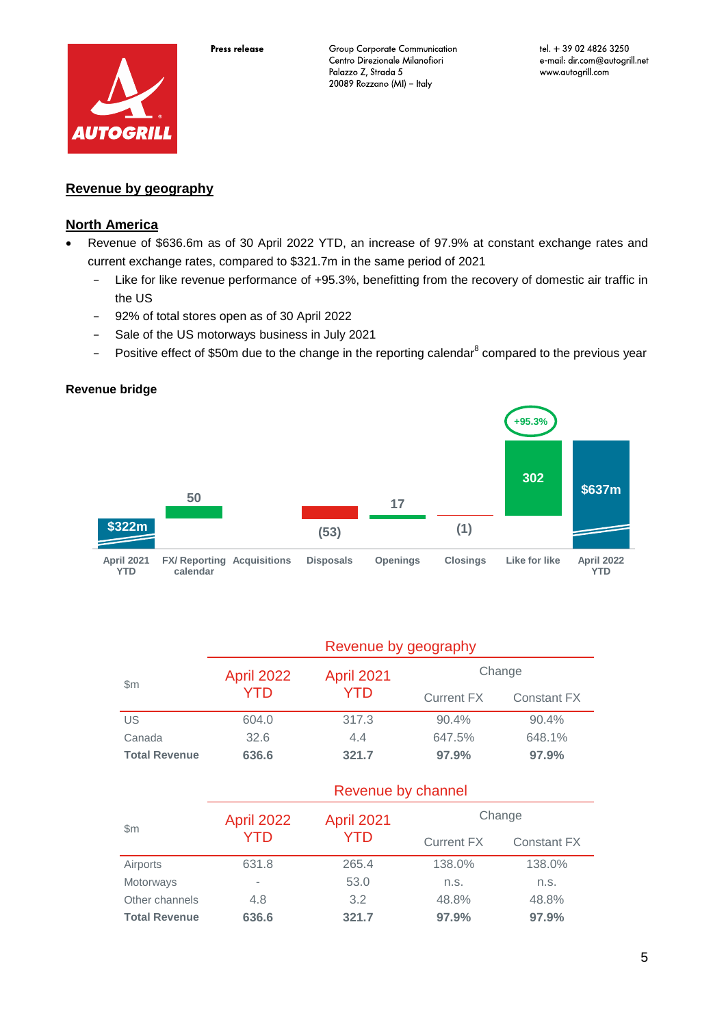

tel. + 39 02 4826 3250 e-mail: dir.com@autogrill.net www.autogrill.com

### **Revenue by geography**

### **North America**

- Revenue of \$636.6m as of 30 April 2022 YTD, an increase of 97.9% at constant exchange rates and current exchange rates, compared to \$321.7m in the same period of 2021
	- − Like for like revenue performance of +95.3%, benefitting from the recovery of domestic air traffic in the US
	- − 92% of total stores open as of 30 April 2022
	- − Sale of the US motorways business in July 2021
	- − Positive effect of \$50m due to the change in the reporting calendar<sup>8</sup> compared to the previous year

### **Revenue bridge**



|                      |                   | Revenue by geography |            |                    |  |  |  |
|----------------------|-------------------|----------------------|------------|--------------------|--|--|--|
| $\mathbb{S}$ m       | <b>April 2022</b> | <b>April 2021</b>    | Change     |                    |  |  |  |
|                      | YTD               | YTD.                 | Current FX | <b>Constant FX</b> |  |  |  |
| US                   | 604.0             | 317.3                | 90.4%      | 90.4%              |  |  |  |
| Canada               | 32.6              | 4.4                  | 647.5%     | 648.1%             |  |  |  |
| <b>Total Revenue</b> | 636.6             | 321.7                | 97.9%      | 97.9%              |  |  |  |

|                      | Revenue by channel |            |                   |             |  |  |
|----------------------|--------------------|------------|-------------------|-------------|--|--|
|                      | <b>April 2022</b>  | April 2021 |                   | Change      |  |  |
| $\mathsf{Sm}$        | YTD                | YTD        | <b>Current FX</b> | Constant FX |  |  |
| Airports             | 631.8              | 265.4      | 138.0%            | 138.0%      |  |  |
| Motorways            | ٠                  | 53.0       | n.S.              | n.s.        |  |  |
| Other channels       | 4.8                | 3.2        | 48.8%             | 48.8%       |  |  |
| <b>Total Revenue</b> | 636.6              | 321.7      | 97.9%             | 97.9%       |  |  |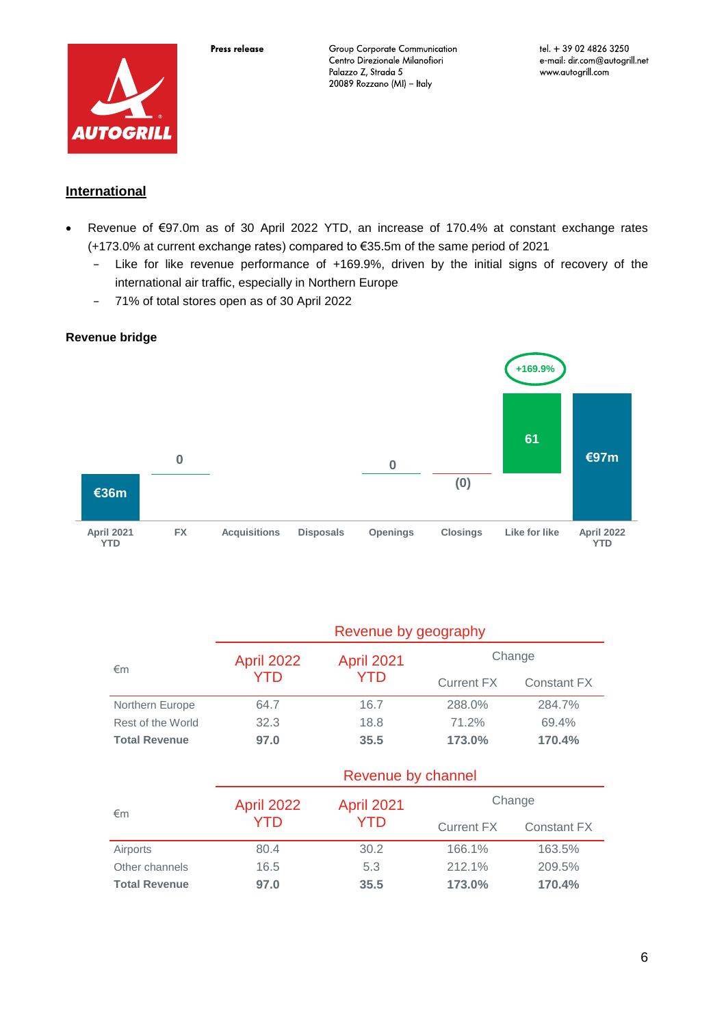

### **International**

**Revenue bridge**

- Revenue of €97.0m as of 30 April 2022 YTD, an increase of 170.4% at constant exchange rates (+173.0% at current exchange rates) compared to €35.5m of the same period of 2021
	- − Like for like revenue performance of +169.9%, driven by the initial signs of recovery of the international air traffic, especially in Northern Europe
	- − 71% of total stores open as of 30 April 2022

# **€36m <sup>0</sup> €97m <sup>0</sup> (0) 61 April 2021 YTD FX Acquisitions Disposals Openings Closings Like for like April 2022 YTD +169.9%**

|                      | Revenue by geography |                    |                   |             |  |  |
|----------------------|----------------------|--------------------|-------------------|-------------|--|--|
|                      | <b>April 2022</b>    | <b>April 2021</b>  | Change            |             |  |  |
| €m                   | YTD                  | YTD                | <b>Current FX</b> | Constant FX |  |  |
| Northern Europe      | 64.7                 | 16.7               | 288.0%            | 284.7%      |  |  |
| Rest of the World    | 32.3                 | 18.8               | 71.2%             | 69.4%       |  |  |
| <b>Total Revenue</b> | 97.0                 | 35.5               | 173.0%            | 170.4%      |  |  |
|                      |                      | Revenue by channel |                   |             |  |  |
|                      | <b>April 2022</b>    | <b>April 2021</b>  | Change            |             |  |  |
| €m                   | YTD                  | YTD                | <b>Current FX</b> | Constant FX |  |  |
| Airports             | 80.4                 | 30.2               | 166.1%            | 163.5%      |  |  |
| Other channels       | 16.5                 | 5.3                | 212.1%            | 209.5%      |  |  |
| <b>Total Revenue</b> | 97.0                 | 35.5               | 173.0%            | 170.4%      |  |  |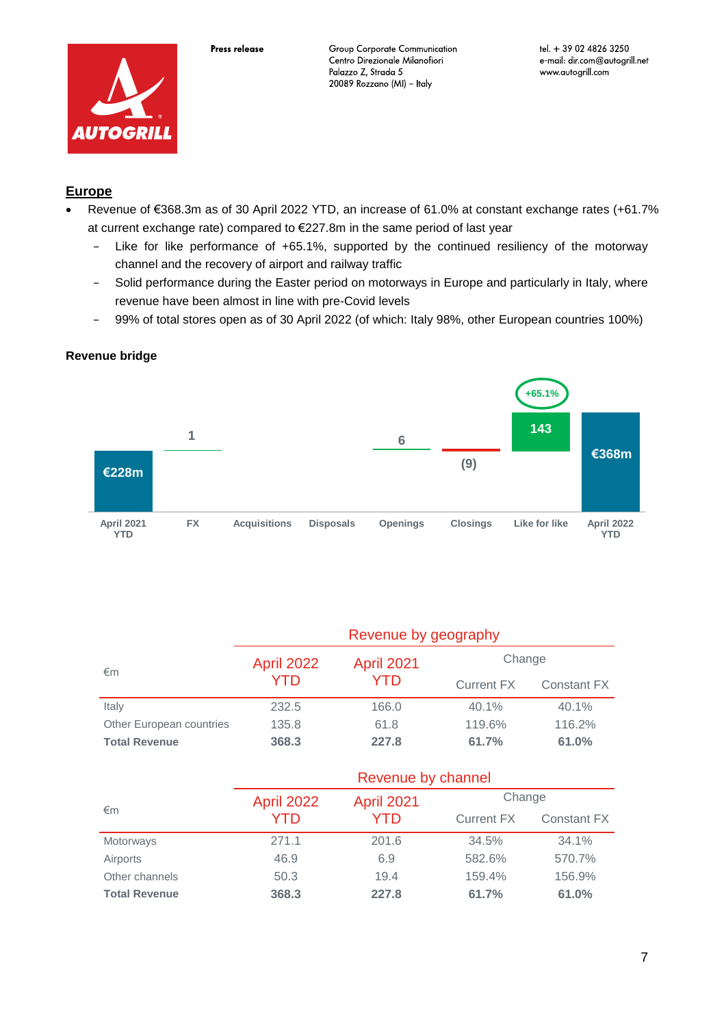



## **Europe**

- Revenue of €368.3m as of 30 April 2022 YTD, an increase of 61.0% at constant exchange rates (+61.7% at current exchange rate) compared to €227.8m in the same period of last year
	- − Like for like performance of +65.1%, supported by the continued resiliency of the motorway channel and the recovery of airport and railway traffic
	- − Solid performance during the Easter period on motorways in Europe and particularly in Italy, where revenue have been almost in line with pre-Covid levels
	- − 99% of total stores open as of 30 April 2022 (of which: Italy 98%, other European countries 100%)

### **Revenue bridge**



| €m                       | <b>April 2022</b> | <b>April 2021</b> | Change     |             |  |
|--------------------------|-------------------|-------------------|------------|-------------|--|
|                          | <b>YTD</b>        | YTD               | Current FX | Constant FX |  |
| Italy                    | 232.5             | 166.0             | 40.1%      | 40.1%       |  |
| Other European countries | 135.8             | 61.8              | 119.6%     | 116.2%      |  |
| <b>Total Revenue</b>     | 368.3             | 227.8             | 61.7%      | 61.0%       |  |

|                      | Revenue by channel |                   |                   |                    |  |  |
|----------------------|--------------------|-------------------|-------------------|--------------------|--|--|
|                      | <b>April 2022</b>  | <b>April 2021</b> | Change            |                    |  |  |
| $\epsilon$ m         | YTD                | YTD               | <b>Current FX</b> | <b>Constant FX</b> |  |  |
| Motorways            | 271.1              | 201.6             | 34.5%             | 34.1%              |  |  |
| Airports             | 46.9               | 6.9               | 582.6%            | 570.7%             |  |  |
| Other channels       | 50.3               | 19.4              | 159.4%            | 156.9%             |  |  |
| <b>Total Revenue</b> | 368.3              | 227.8             | 61.7%             | 61.0%              |  |  |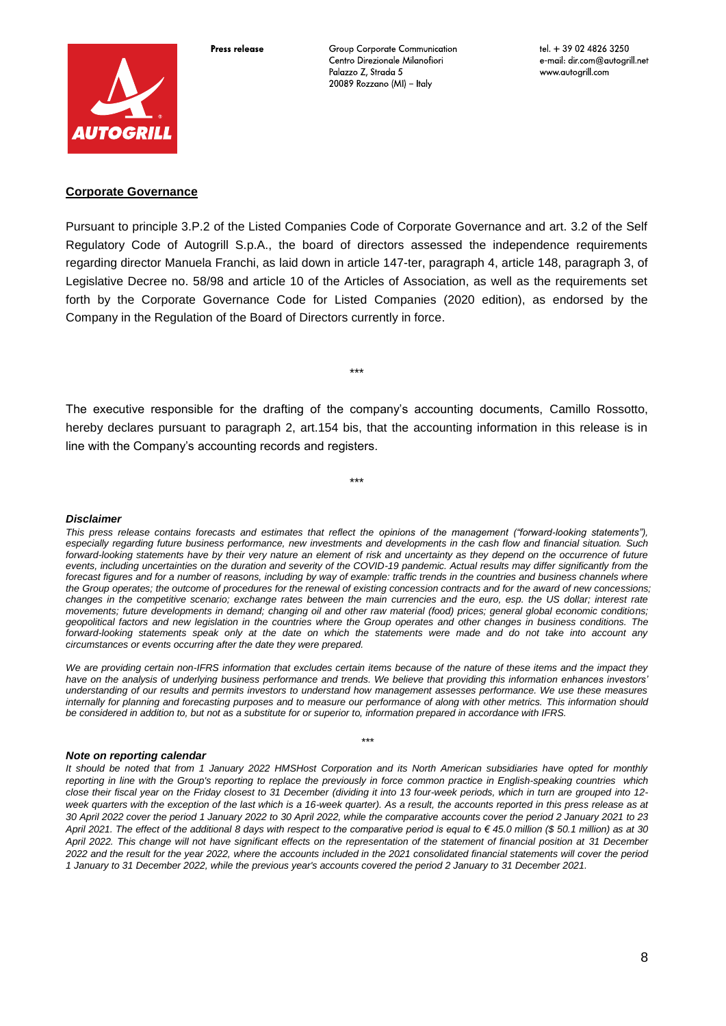

Press release

Group Corporate Communication Centro Direzionale Milanofiori Palazzo Z, Strada 5 20089 Rozzano (MI) - Italy

### **Corporate Governance**

Pursuant to principle 3.P.2 of the Listed Companies Code of Corporate Governance and art. 3.2 of the Self Regulatory Code of Autogrill S.p.A., the board of directors assessed the independence requirements regarding director Manuela Franchi, as laid down in article 147-ter, paragraph 4, article 148, paragraph 3, of Legislative Decree no. 58/98 and article 10 of the Articles of Association, as well as the requirements set forth by the Corporate Governance Code for Listed Companies (2020 edition), as endorsed by the Company in the Regulation of the Board of Directors currently in force.

\*\*\*

The executive responsible for the drafting of the company's accounting documents, Camillo Rossotto, hereby declares pursuant to paragraph 2, art.154 bis, that the accounting information in this release is in line with the Company's accounting records and registers.

\*\*\*

#### *Disclaimer*

*This press release contains forecasts and estimates that reflect the opinions of the management ("forward-looking statements"), especially regarding future business performance, new investments and developments in the cash flow and financial situation. Such*  forward-looking statements have by their very nature an element of risk and uncertainty as they depend on the occurrence of future *events, including uncertainties on the duration and severity of the COVID-19 pandemic. Actual results may differ significantly from the*  forecast figures and for a number of reasons, including by way of example: traffic trends in the countries and business channels where *the Group operates; the outcome of procedures for the renewal of existing concession contracts and for the award of new concessions; changes in the competitive scenario; exchange rates between the main currencies and the euro, esp. the US dollar; interest rate movements; future developments in demand; changing oil and other raw material (food) prices; general global economic conditions; geopolitical factors and new legislation in the countries where the Group operates and other changes in business conditions. The forward-looking statements speak only at the date on which the statements were made and do not take into account any circumstances or events occurring after the date they were prepared.*

*We are providing certain non-IFRS information that excludes certain items because of the nature of these items and the impact they have on the analysis of underlying business performance and trends. We believe that providing this information enhances investors' understanding of our results and permits investors to understand how management assesses performance. We use these measures internally for planning and forecasting purposes and to measure our performance of along with other metrics. This information should be considered in addition to, but not as a substitute for or superior to, information prepared in accordance with IFRS.*

\*\*\*

#### *Note on reporting calendar*

*It should be noted that from 1 January 2022 HMSHost Corporation and its North American subsidiaries have opted for monthly reporting in line with the Group's reporting to replace the previously in force common practice in English-speaking countries which close their fiscal year on the Friday closest to 31 December (dividing it into 13 four-week periods, which in turn are grouped into 12 week quarters with the exception of the last which is a 16-week quarter). As a result, the accounts reported in this press release as at 30 April 2022 cover the period 1 January 2022 to 30 April 2022, while the comparative accounts cover the period 2 January 2021 to 23 April 2021. The effect of the additional 8 days with respect to the comparative period is equal to € 45.0 million (\$ 50.1 million) as at 30 April 2022. This change will not have significant effects on the representation of the statement of financial position at 31 December 2022 and the result for the year 2022, where the accounts included in the 2021 consolidated financial statements will cover the period 1 January to 31 December 2022, while the previous year's accounts covered the period 2 January to 31 December 2021.*